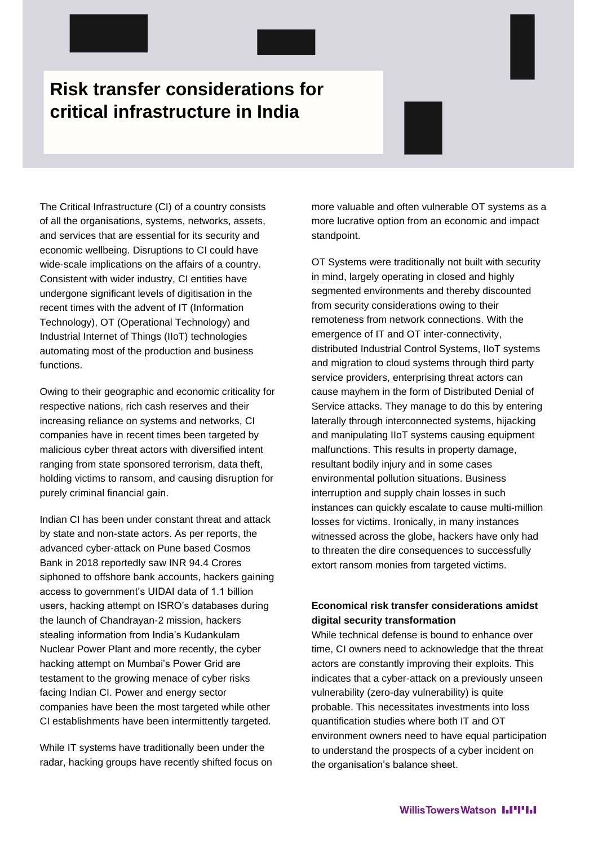# **Risk transfer considerations for critical infrastructure in India**

The Critical Infrastructure (CI) of a country consists of all the organisations, systems, networks, assets, and services that are essential for its security and economic wellbeing. Disruptions to CI could have wide-scale implications on the affairs of a country. Consistent with wider industry, CI entities have undergone significant levels of digitisation in the recent times with the advent of IT (Information Technology), OT (Operational Technology) and Industrial Internet of Things (IIoT) technologies automating most of the production and business functions.

Owing to their geographic and economic criticality for respective nations, rich cash reserves and their increasing reliance on systems and networks, CI companies have in recent times been targeted by malicious cyber threat actors with diversified intent ranging from state sponsored terrorism, data theft, holding victims to ransom, and causing disruption for purely criminal financial gain.

Indian CI has been under constant threat and attack by state and non-state actors. As per reports, the advanced cyber-attack on Pune based Cosmos Bank in 2018 reportedly saw INR 94.4 Crores siphoned to offshore bank accounts, hackers gaining access to government's UIDAI data of 1.1 billion users, hacking attempt on ISRO's databases during the launch of Chandrayan-2 mission, hackers stealing information from India's Kudankulam Nuclear Power Plant and more recently, the cyber hacking attempt on Mumbai's Power Grid are testament to the growing menace of cyber risks facing Indian CI. Power and energy sector companies have been the most targeted while other CI establishments have been intermittently targeted.

While IT systems have traditionally been under the radar, hacking groups have recently shifted focus on more valuable and often vulnerable OT systems as a more lucrative option from an economic and impact standpoint.

OT Systems were traditionally not built with security in mind, largely operating in closed and highly segmented environments and thereby discounted from security considerations owing to their remoteness from network connections. With the emergence of IT and OT inter-connectivity, distributed Industrial Control Systems, IIoT systems and migration to cloud systems through third party service providers, enterprising threat actors can cause mayhem in the form of Distributed Denial of Service attacks. They manage to do this by entering laterally through interconnected systems, hijacking and manipulating IIoT systems causing equipment malfunctions. This results in property damage, resultant bodily injury and in some cases environmental pollution situations. Business interruption and supply chain losses in such instances can quickly escalate to cause multi-million losses for victims. Ironically, in many instances witnessed across the globe, hackers have only had to threaten the dire consequences to successfully extort ransom monies from targeted victims.

# **Economical risk transfer considerations amidst digital security transformation**

While technical defense is bound to enhance over time, CI owners need to acknowledge that the threat actors are constantly improving their exploits. This indicates that a cyber-attack on a previously unseen vulnerability (zero-day vulnerability) is quite probable. This necessitates investments into loss quantification studies where both IT and OT environment owners need to have equal participation to understand the prospects of a cyber incident on the organisation's balance sheet.